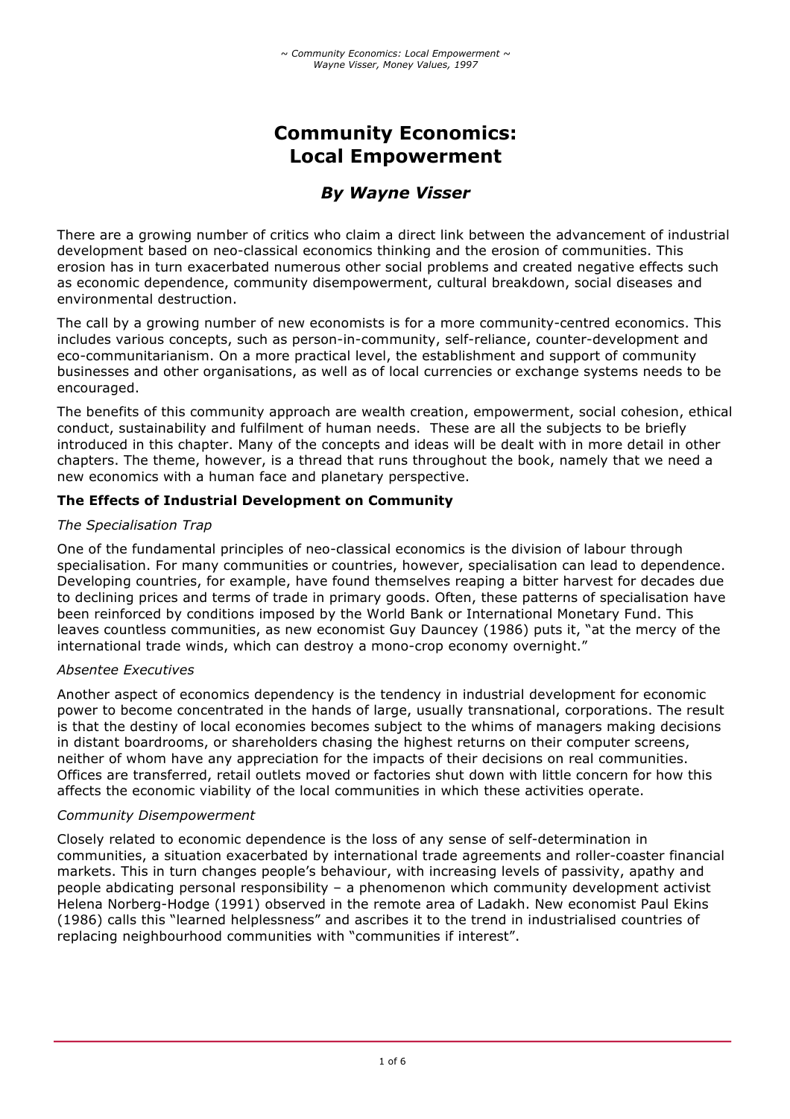# **Community Economics: Local Empowerment**

# *By Wayne Visser*

There are a growing number of critics who claim a direct link between the advancement of industrial development based on neo-classical economics thinking and the erosion of communities. This erosion has in turn exacerbated numerous other social problems and created negative effects such as economic dependence, community disempowerment, cultural breakdown, social diseases and environmental destruction.

The call by a growing number of new economists is for a more community-centred economics. This includes various concepts, such as person-in-community, self-reliance, counter-development and eco-communitarianism. On a more practical level, the establishment and support of community businesses and other organisations, as well as of local currencies or exchange systems needs to be encouraged.

The benefits of this community approach are wealth creation, empowerment, social cohesion, ethical conduct, sustainability and fulfilment of human needs. These are all the subjects to be briefly introduced in this chapter. Many of the concepts and ideas will be dealt with in more detail in other chapters. The theme, however, is a thread that runs throughout the book, namely that we need a new economics with a human face and planetary perspective.

# **The Effects of Industrial Development on Community**

# *The Specialisation Trap*

One of the fundamental principles of neo-classical economics is the division of labour through specialisation. For many communities or countries, however, specialisation can lead to dependence. Developing countries, for example, have found themselves reaping a bitter harvest for decades due to declining prices and terms of trade in primary goods. Often, these patterns of specialisation have been reinforced by conditions imposed by the World Bank or International Monetary Fund. This leaves countless communities, as new economist Guy Dauncey (1986) puts it, "at the mercy of the international trade winds, which can destroy a mono-crop economy overnight."

# *Absentee Executives*

Another aspect of economics dependency is the tendency in industrial development for economic power to become concentrated in the hands of large, usually transnational, corporations. The result is that the destiny of local economies becomes subject to the whims of managers making decisions in distant boardrooms, or shareholders chasing the highest returns on their computer screens, neither of whom have any appreciation for the impacts of their decisions on real communities. Offices are transferred, retail outlets moved or factories shut down with little concern for how this affects the economic viability of the local communities in which these activities operate.

# *Community Disempowerment*

Closely related to economic dependence is the loss of any sense of self-determination in communities, a situation exacerbated by international trade agreements and roller-coaster financial markets. This in turn changes people's behaviour, with increasing levels of passivity, apathy and people abdicating personal responsibility – a phenomenon which community development activist Helena Norberg-Hodge (1991) observed in the remote area of Ladakh. New economist Paul Ekins (1986) calls this "learned helplessness" and ascribes it to the trend in industrialised countries of replacing neighbourhood communities with "communities if interest".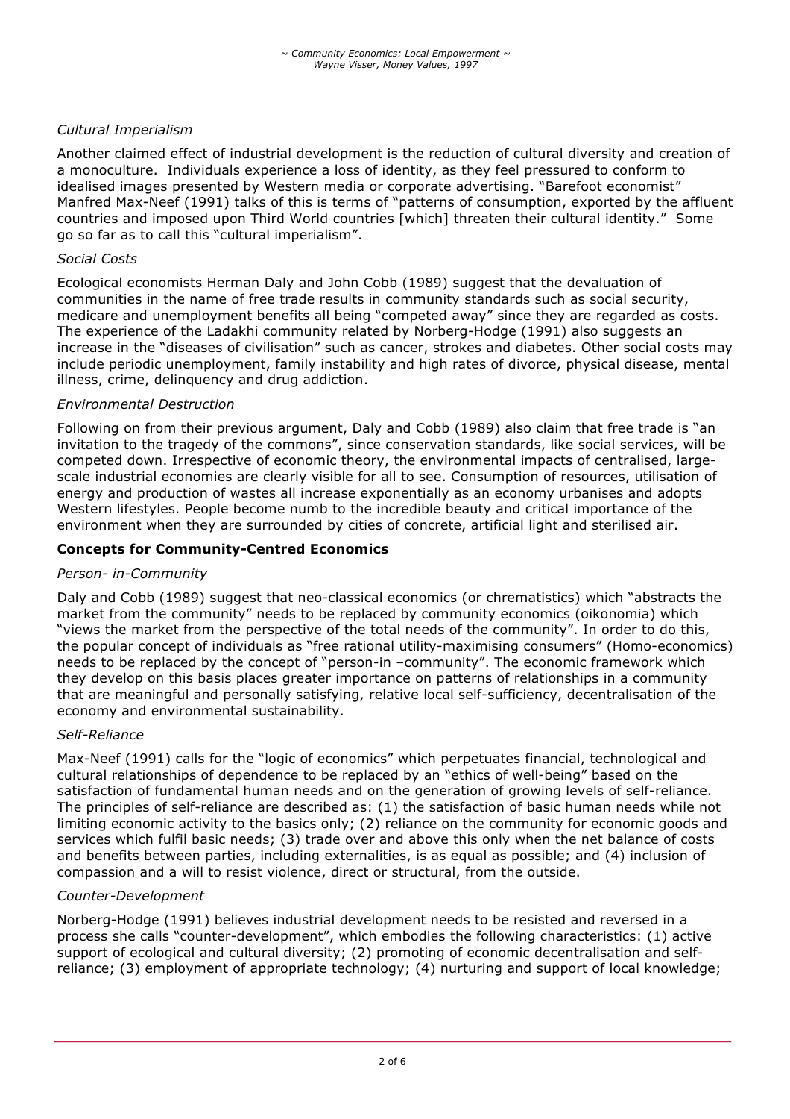# *Cultural Imperialism*

Another claimed effect of industrial development is the reduction of cultural diversity and creation of a monoculture. Individuals experience a loss of identity, as they feel pressured to conform to idealised images presented by Western media or corporate advertising. "Barefoot economist" Manfred Max-Neef (1991) talks of this is terms of "patterns of consumption, exported by the affluent countries and imposed upon Third World countries [which] threaten their cultural identity." Some go so far as to call this "cultural imperialism".

#### *Social Costs*

Ecological economists Herman Daly and John Cobb (1989) suggest that the devaluation of communities in the name of free trade results in community standards such as social security, medicare and unemployment benefits all being "competed away" since they are regarded as costs. The experience of the Ladakhi community related by Norberg-Hodge (1991) also suggests an increase in the "diseases of civilisation" such as cancer, strokes and diabetes. Other social costs may include periodic unemployment, family instability and high rates of divorce, physical disease, mental illness, crime, delinquency and drug addiction.

#### *Environmental Destruction*

Following on from their previous argument, Daly and Cobb (1989) also claim that free trade is "an invitation to the tragedy of the commons", since conservation standards, like social services, will be competed down. Irrespective of economic theory, the environmental impacts of centralised, largescale industrial economies are clearly visible for all to see. Consumption of resources, utilisation of energy and production of wastes all increase exponentially as an economy urbanises and adopts Western lifestyles. People become numb to the incredible beauty and critical importance of the environment when they are surrounded by cities of concrete, artificial light and sterilised air.

#### **Concepts for Community-Centred Economics**

#### *Person- in-Community*

Daly and Cobb (1989) suggest that neo-classical economics (or chrematistics) which "abstracts the market from the community" needs to be replaced by community economics (oikonomia) which "views the market from the perspective of the total needs of the community". In order to do this, the popular concept of individuals as "free rational utility-maximising consumers" (Homo-economics) needs to be replaced by the concept of "person-in –community". The economic framework which they develop on this basis places greater importance on patterns of relationships in a community that are meaningful and personally satisfying, relative local self-sufficiency, decentralisation of the economy and environmental sustainability.

#### *Self-Reliance*

Max-Neef (1991) calls for the "logic of economics" which perpetuates financial, technological and cultural relationships of dependence to be replaced by an "ethics of well-being" based on the satisfaction of fundamental human needs and on the generation of growing levels of self-reliance. The principles of self-reliance are described as: (1) the satisfaction of basic human needs while not limiting economic activity to the basics only; (2) reliance on the community for economic goods and services which fulfil basic needs; (3) trade over and above this only when the net balance of costs and benefits between parties, including externalities, is as equal as possible; and (4) inclusion of compassion and a will to resist violence, direct or structural, from the outside.

#### *Counter-Development*

Norberg-Hodge (1991) believes industrial development needs to be resisted and reversed in a process she calls "counter-development", which embodies the following characteristics: (1) active support of ecological and cultural diversity; (2) promoting of economic decentralisation and selfreliance; (3) employment of appropriate technology; (4) nurturing and support of local knowledge;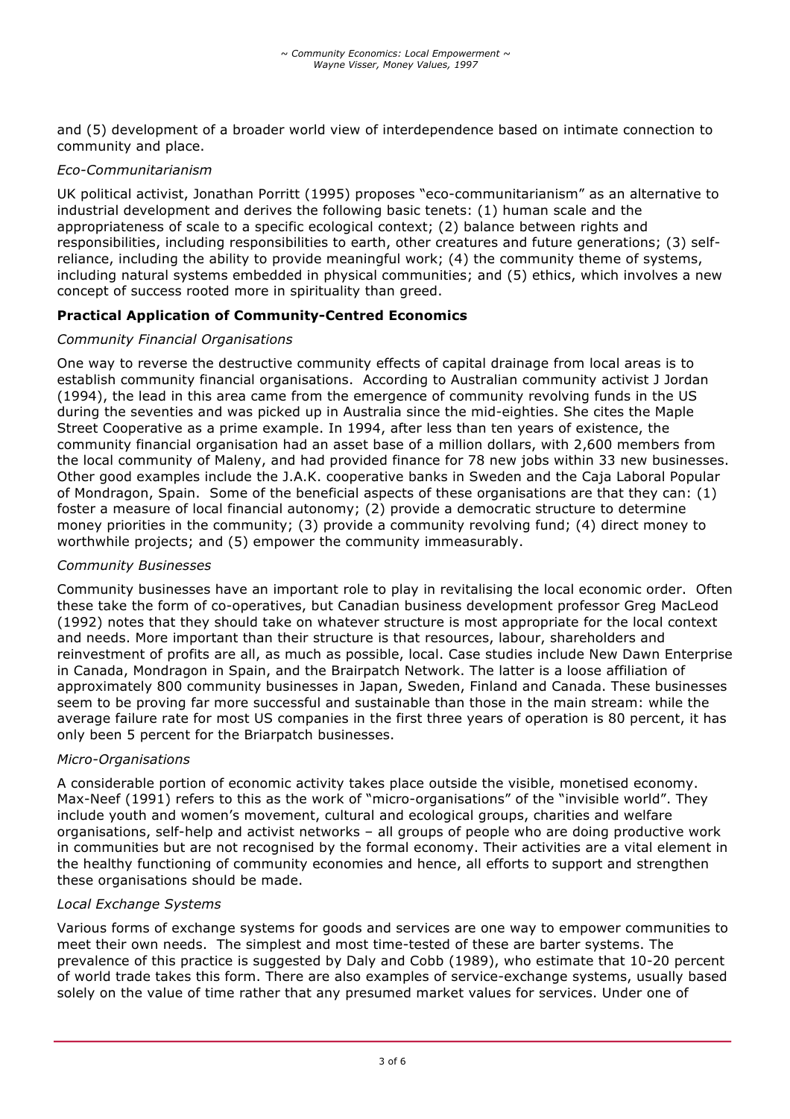and (5) development of a broader world view of interdependence based on intimate connection to community and place.

## *Eco-Communitarianism*

UK political activist, Jonathan Porritt (1995) proposes "eco-communitarianism" as an alternative to industrial development and derives the following basic tenets: (1) human scale and the appropriateness of scale to a specific ecological context; (2) balance between rights and responsibilities, including responsibilities to earth, other creatures and future generations; (3) selfreliance, including the ability to provide meaningful work; (4) the community theme of systems, including natural systems embedded in physical communities; and (5) ethics, which involves a new concept of success rooted more in spirituality than greed.

# **Practical Application of Community-Centred Economics**

## *Community Financial Organisations*

One way to reverse the destructive community effects of capital drainage from local areas is to establish community financial organisations. According to Australian community activist J Jordan (1994), the lead in this area came from the emergence of community revolving funds in the US during the seventies and was picked up in Australia since the mid-eighties. She cites the Maple Street Cooperative as a prime example. In 1994, after less than ten years of existence, the community financial organisation had an asset base of a million dollars, with 2,600 members from the local community of Maleny, and had provided finance for 78 new jobs within 33 new businesses. Other good examples include the J.A.K. cooperative banks in Sweden and the Caja Laboral Popular of Mondragon, Spain. Some of the beneficial aspects of these organisations are that they can: (1) foster a measure of local financial autonomy; (2) provide a democratic structure to determine money priorities in the community; (3) provide a community revolving fund; (4) direct money to worthwhile projects; and (5) empower the community immeasurably.

#### *Community Businesses*

Community businesses have an important role to play in revitalising the local economic order. Often these take the form of co-operatives, but Canadian business development professor Greg MacLeod (1992) notes that they should take on whatever structure is most appropriate for the local context and needs. More important than their structure is that resources, labour, shareholders and reinvestment of profits are all, as much as possible, local. Case studies include New Dawn Enterprise in Canada, Mondragon in Spain, and the Brairpatch Network. The latter is a loose affiliation of approximately 800 community businesses in Japan, Sweden, Finland and Canada. These businesses seem to be proving far more successful and sustainable than those in the main stream: while the average failure rate for most US companies in the first three years of operation is 80 percent, it has only been 5 percent for the Briarpatch businesses.

## *Micro-Organisations*

A considerable portion of economic activity takes place outside the visible, monetised economy. Max-Neef (1991) refers to this as the work of "micro-organisations" of the "invisible world". They include youth and women's movement, cultural and ecological groups, charities and welfare organisations, self-help and activist networks – all groups of people who are doing productive work in communities but are not recognised by the formal economy. Their activities are a vital element in the healthy functioning of community economies and hence, all efforts to support and strengthen these organisations should be made.

## *Local Exchange Systems*

Various forms of exchange systems for goods and services are one way to empower communities to meet their own needs. The simplest and most time-tested of these are barter systems. The prevalence of this practice is suggested by Daly and Cobb (1989), who estimate that 10-20 percent of world trade takes this form. There are also examples of service-exchange systems, usually based solely on the value of time rather that any presumed market values for services. Under one of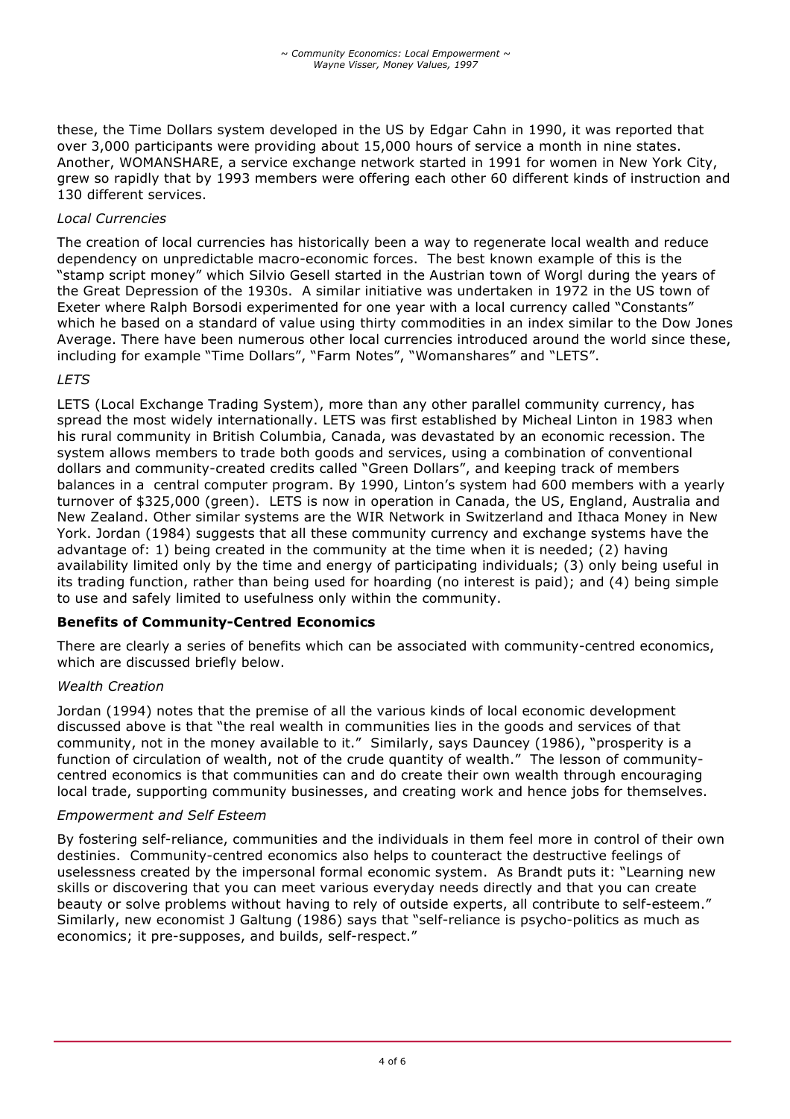these, the Time Dollars system developed in the US by Edgar Cahn in 1990, it was reported that over 3,000 participants were providing about 15,000 hours of service a month in nine states. Another, WOMANSHARE, a service exchange network started in 1991 for women in New York City, grew so rapidly that by 1993 members were offering each other 60 different kinds of instruction and 130 different services.

# *Local Currencies*

The creation of local currencies has historically been a way to regenerate local wealth and reduce dependency on unpredictable macro-economic forces. The best known example of this is the "stamp script money" which Silvio Gesell started in the Austrian town of Worgl during the years of the Great Depression of the 1930s. A similar initiative was undertaken in 1972 in the US town of Exeter where Ralph Borsodi experimented for one year with a local currency called "Constants" which he based on a standard of value using thirty commodities in an index similar to the Dow Jones Average. There have been numerous other local currencies introduced around the world since these, including for example "Time Dollars", "Farm Notes", "Womanshares" and "LETS".

# *LETS*

LETS (Local Exchange Trading System), more than any other parallel community currency, has spread the most widely internationally. LETS was first established by Micheal Linton in 1983 when his rural community in British Columbia, Canada, was devastated by an economic recession. The system allows members to trade both goods and services, using a combination of conventional dollars and community-created credits called "Green Dollars", and keeping track of members balances in a central computer program. By 1990, Linton's system had 600 members with a yearly turnover of \$325,000 (green). LETS is now in operation in Canada, the US, England, Australia and New Zealand. Other similar systems are the WIR Network in Switzerland and Ithaca Money in New York. Jordan (1984) suggests that all these community currency and exchange systems have the advantage of: 1) being created in the community at the time when it is needed; (2) having availability limited only by the time and energy of participating individuals; (3) only being useful in its trading function, rather than being used for hoarding (no interest is paid); and (4) being simple to use and safely limited to usefulness only within the community.

# **Benefits of Community-Centred Economics**

There are clearly a series of benefits which can be associated with community-centred economics, which are discussed briefly below.

## *Wealth Creation*

Jordan (1994) notes that the premise of all the various kinds of local economic development discussed above is that "the real wealth in communities lies in the goods and services of that community, not in the money available to it." Similarly, says Dauncey (1986), "prosperity is a function of circulation of wealth, not of the crude quantity of wealth." The lesson of communitycentred economics is that communities can and do create their own wealth through encouraging local trade, supporting community businesses, and creating work and hence jobs for themselves.

## *Empowerment and Self Esteem*

By fostering self-reliance, communities and the individuals in them feel more in control of their own destinies. Community-centred economics also helps to counteract the destructive feelings of uselessness created by the impersonal formal economic system. As Brandt puts it: "Learning new skills or discovering that you can meet various everyday needs directly and that you can create beauty or solve problems without having to rely of outside experts, all contribute to self-esteem." Similarly, new economist J Galtung (1986) says that "self-reliance is psycho-politics as much as economics; it pre-supposes, and builds, self-respect."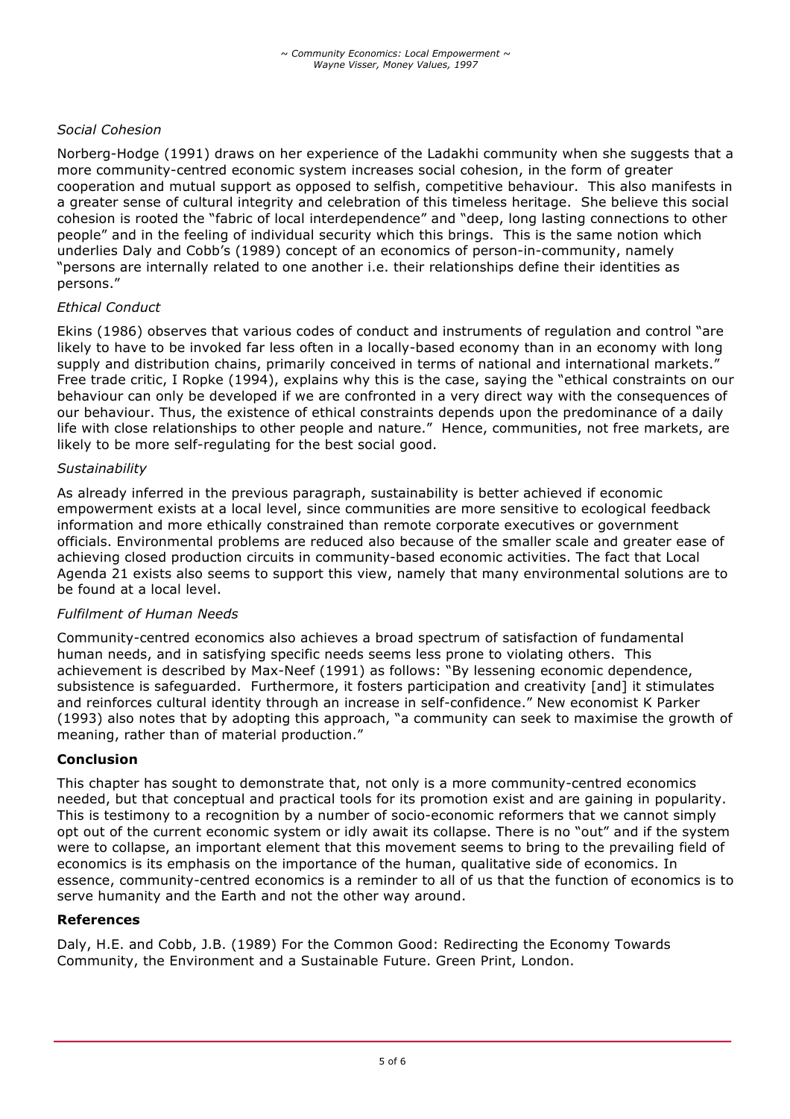# *Social Cohesion*

Norberg-Hodge (1991) draws on her experience of the Ladakhi community when she suggests that a more community-centred economic system increases social cohesion, in the form of greater cooperation and mutual support as opposed to selfish, competitive behaviour. This also manifests in a greater sense of cultural integrity and celebration of this timeless heritage. She believe this social cohesion is rooted the "fabric of local interdependence" and "deep, long lasting connections to other people" and in the feeling of individual security which this brings. This is the same notion which underlies Daly and Cobb's (1989) concept of an economics of person-in-community, namely "persons are internally related to one another i.e. their relationships define their identities as persons."

#### *Ethical Conduct*

Ekins (1986) observes that various codes of conduct and instruments of regulation and control "are likely to have to be invoked far less often in a locally-based economy than in an economy with long supply and distribution chains, primarily conceived in terms of national and international markets." Free trade critic, I Ropke (1994), explains why this is the case, saying the "ethical constraints on our behaviour can only be developed if we are confronted in a very direct way with the consequences of our behaviour. Thus, the existence of ethical constraints depends upon the predominance of a daily life with close relationships to other people and nature." Hence, communities, not free markets, are likely to be more self-regulating for the best social good.

#### *Sustainability*

As already inferred in the previous paragraph, sustainability is better achieved if economic empowerment exists at a local level, since communities are more sensitive to ecological feedback information and more ethically constrained than remote corporate executives or government officials. Environmental problems are reduced also because of the smaller scale and greater ease of achieving closed production circuits in community-based economic activities. The fact that Local Agenda 21 exists also seems to support this view, namely that many environmental solutions are to be found at a local level.

#### *Fulfilment of Human Needs*

Community-centred economics also achieves a broad spectrum of satisfaction of fundamental human needs, and in satisfying specific needs seems less prone to violating others. This achievement is described by Max-Neef (1991) as follows: "By lessening economic dependence, subsistence is safeguarded. Furthermore, it fosters participation and creativity [and] it stimulates and reinforces cultural identity through an increase in self-confidence." New economist K Parker (1993) also notes that by adopting this approach, "a community can seek to maximise the growth of meaning, rather than of material production."

## **Conclusion**

This chapter has sought to demonstrate that, not only is a more community-centred economics needed, but that conceptual and practical tools for its promotion exist and are gaining in popularity. This is testimony to a recognition by a number of socio-economic reformers that we cannot simply opt out of the current economic system or idly await its collapse. There is no "out" and if the system were to collapse, an important element that this movement seems to bring to the prevailing field of economics is its emphasis on the importance of the human, qualitative side of economics. In essence, community-centred economics is a reminder to all of us that the function of economics is to serve humanity and the Earth and not the other way around.

#### **References**

Daly, H.E. and Cobb, J.B. (1989) For the Common Good: Redirecting the Economy Towards Community, the Environment and a Sustainable Future. Green Print, London.